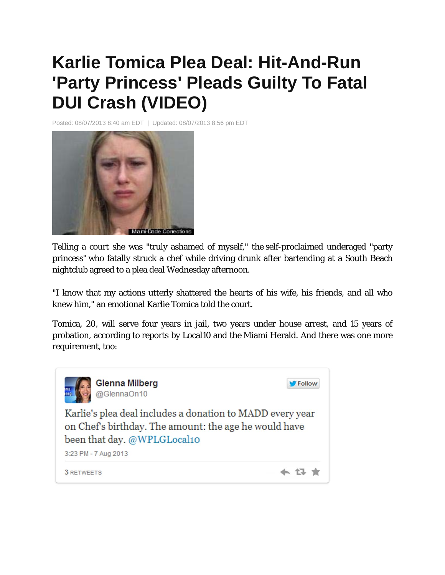## **Karlie Tomica Plea Deal: Hit-And-Run 'Party Princess' Pleads Guilty To Fatal DUI Crash (VIDEO)**

Posted: 08/07/2013 8:40 am EDT | Updated: 08/07/2013 8:56 pm EDT



Telling a court she was "truly ashamed of myself," the self-proclaimed underaged "party princess" who fatally struck a chef while driving drunk after bartending at a South Beach nightclub agreed to a plea deal Wednesday afternoon.

"I know that my actions utterly shattered the hearts of his wife, his friends, and all who knew him," an emotional Karlie Tomica told the court.

Tomica, 20, will serve four years in jail, two years under house arrest, and 15 years of probation, according to reports by Local10 and the Miami Herald. And there was one more requirement, too: